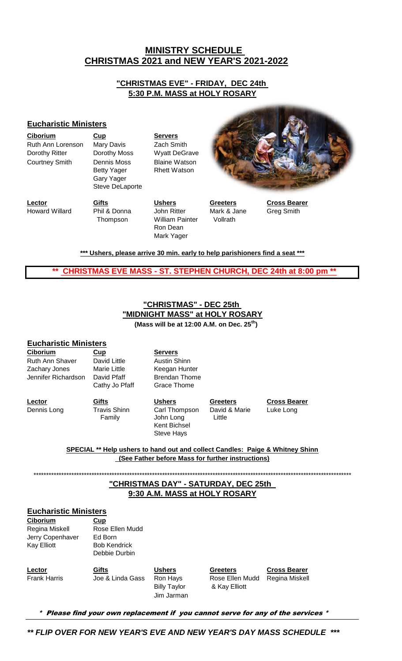## **CHRISTMAS 2021 and NEW YEAR'S 2021-2022 MINISTRY SCHEDULE**

### **"CHRISTMAS EVE" - FRIDAY, DEC 24th 5:30 P.M. MASS at HOLY ROSARY**

#### **Eucharistic Ministers**

| <b>Ciborium</b>       | Cup                                                                       | <b>Servers</b>                              |
|-----------------------|---------------------------------------------------------------------------|---------------------------------------------|
| Ruth Ann Lorenson     | Mary Davis                                                                | Zach Smith                                  |
| Dorothy Ritter        | Dorothy Moss                                                              | <b>Wyatt DeGrave</b>                        |
| <b>Courtney Smith</b> | <b>Dennis Moss</b><br><b>Betty Yager</b><br>Gary Yager<br>Steve DeLaporte | <b>Blaine Watson</b><br><b>Rhett Watson</b> |



**Lector Gifts Ushers Greeters Cross Bearer** Howard Willard Phil & Donna John Ritter Mark & Jane Greg Smith

 Thompson William Painter Vollrath Ron Dean Mark Yager

**\*\*\* Ushers, please arrive 30 min. early to help parishioners find a seat \*\*\***

 **\*\* CHRISTMAS EVE MASS - ST. STEPHEN CHURCH, DEC 24th at 8:00 pm \*\***

# **"CHRISTMAS" - DEC 25th "MIDNIGHT MASS" at HOLY ROSARY**

 **(Mass will be at 12:00 A.M. on Dec. 25th)**

### **Eucharistic Ministers**

**Ciborium Cup Servers** Ruth Ann Shaver David Little Austin Shinn Zachary Jones Marie Little Keegan Hunter Jennifer Richardson David Pfaff Brendan Thome

Cathy Jo Pfaff Grace Thome

Kent Bichsel Steve Hays

Dennis Long Travis Shinn Carl Thompson David & Marie Family **John Long** Little

**Lector Gifts Ushers Greeters Cross Bearer** Luke Long

#### **(See Father before Mass for further instructions) SPECIAL \*\* Help ushers to hand out and collect Candles: Paige & Whitney Shinn**

\*\*\*\*\*\*\*\*\*\*\*\*\*\*\*\*\*\*\*\*\*\*\*\*\*\*\*\*\*\*\*\*\*\*\*\*\*\*\*\*\*\*\*\*\*\*\*\*\*\*\*\*\*\*\*\*\*\*\*\*\*\*\*\*\*\*\*\*\*\*\*\*\*\*\*\*\*\*\*\*\*\*\*\*\*\*\*\*\*\*\*\*\*\*\*\*\*\*\*\*\*\*\*\*\*\*\*\*\*\*\*\*\*\*\*\*\*\*\*\*\*\*\*\*\*\*

## **"CHRISTMAS DAY" - SATURDAY, DEC 25th 9:30 A.M. MASS at HOLY ROSARY**

### **Eucharistic Ministers**

**Ciborium Cup** Regina Miskell Rose Ellen Mudd Jerry Copenhaver Ed Born

Kay Elliott Bob Kendrick Debbie Durbin

**Lector Gifts Ushers Greeters Cross Bearer** Frank Harris **Joe & Linda Gass** Ron Hays Rose Ellen Mudd Regina Miskell Jim Jarman

Billy Taylor & Kay Elliott

\* Please find your own replacement if you cannot serve for any of the services \*

*\*\* FLIP OVER FOR NEW YEAR'S EVE AND NEW YEAR'S DAY MASS SCHEDULE \*\*\**